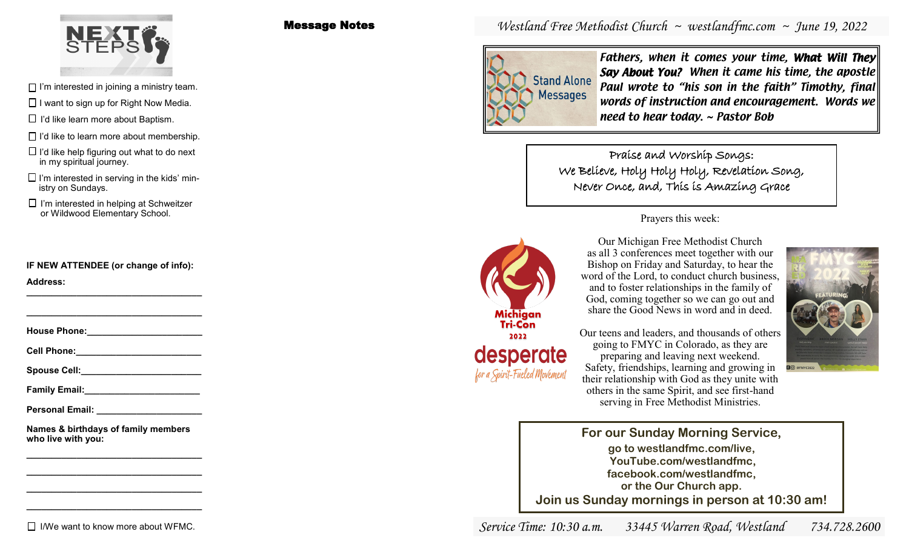

- $\Box$  I'm interested in joining a ministry team.
- $\Box$  I want to sign up for Right Now Media.
- $\Box$  I'd like learn more about Baptism.
- $\Box$  I'd like to learn more about membership.
- $\Box$  I'd like help figuring out what to do next in my spiritual journey.
- $\square$  I'm interested in serving in the kids' ministry on Sundays.
- $\Box$  I'm interested in helping at Schweitzer or Wildwood Elementary School. Prayers this week:

**IF NEW ATTENDEE (or change of info):**

**Address: \_\_\_\_\_\_\_\_\_\_\_\_\_\_\_\_\_\_\_\_\_\_\_\_\_\_\_\_\_\_\_\_\_\_\_**

**House Phone:** 

**\_\_\_\_\_\_\_\_\_\_\_\_\_\_\_\_\_\_\_\_\_\_\_\_\_\_\_\_\_\_\_\_\_\_\_**

**Cell Phone:\_\_\_\_\_\_\_\_\_\_\_\_\_\_\_\_\_\_\_\_\_\_\_\_\_**

Spouse Cell:

**Family Email:\_\_\_\_\_\_\_\_\_\_\_\_\_\_\_\_\_\_\_\_\_\_\_**

**Personal Email: \_\_\_\_\_\_\_\_\_\_\_\_\_\_\_\_\_\_\_\_\_**

**Names & birthdays of family members who live with you:**

**\_\_\_\_\_\_\_\_\_\_\_\_\_\_\_\_\_\_\_\_\_\_\_\_\_\_\_\_\_\_\_\_\_\_\_ \_\_\_\_\_\_\_\_\_\_\_\_\_\_\_\_\_\_\_\_\_\_\_\_\_\_\_\_\_\_\_\_\_\_\_ \_\_\_\_\_\_\_\_\_\_\_\_\_\_\_\_\_\_\_\_\_\_\_\_\_\_\_\_\_\_\_\_\_\_\_ \_\_\_\_\_\_\_\_\_\_\_\_\_\_\_\_\_\_\_\_\_\_\_\_\_\_\_\_\_\_\_\_\_\_\_**

# $\Box$  I/We want to know more about WFMC.

Message Notes

# *Westland Free Methodist Church ~ westlandfmc.com ~ June 19, 2022*



Fathers, when it comes your time, What Will They Say About You? When it came his time, the apostle Paul wrote to "his son in the faith" Timothy, final words of instruction and encouragement. Words we need to hear today. ~ Pastor Bob

Praise and Worship Songs: We Believe, Holy Holy Holy, Revelation Song, Never Once, and, This is Amazing Grace



Our Michigan Free Methodist Church as all 3 conferences meet together with our Bishop on Friday and Saturday, to hear the word of the Lord, to conduct church business, and to foster relationships in the family of God, coming together so we can go out and share the Good News in word and in deed.

Our teens and leaders, and thousands of others going to FMYC in Colorado, as they are preparing and leaving next weekend. Safety, friendships, learning and growing in their relationship with God as they unite with others in the same Spirit, and see first-hand serving in Free Methodist Ministries.



**For our Sunday Morning Service, go to westlandfmc.com/live, YouTube.com/westlandfmc, facebook.com/westlandfmc, or the Our Church app. Join us Sunday mornings in person at 10:30 am!**